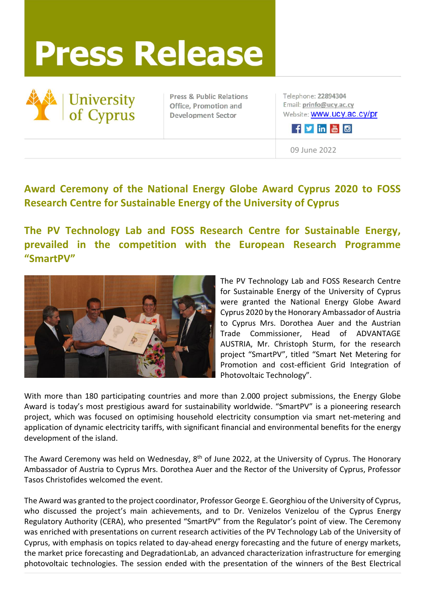## **Press Release**



**Press & Public Relations** Office, Promotion and **Development Sector** 

Telephone: 22894304 Email: prinfo@ucy.ac.cy Website: **WWW.ucy.ac.cy/pr** 

Fyinkio

09 June 2022

## **Award Ceremony of the National Energy Globe Award Cyprus 2020 to FOSS Research Centre for Sustainable Energy of the University of Cyprus**

**The PV Technology Lab and FOSS Research Centre for Sustainable Energy, prevailed in the competition with the European Research Programme "SmartPV"**



The PV Technology Lab and FOSS Research Centre for Sustainable Energy of the University of Cyprus were granted the National Energy Globe Award Cyprus 2020 by the Honorary Ambassador of Austria to Cyprus Mrs. Dorothea Auer and the Austrian Trade Commissioner, Head of ADVANTAGE AUSTRIA, Mr. Christoph Sturm, for the research project "SmartPV", titled "Smart Net Metering for Promotion and cost-efficient Grid Integration of Photovoltaic Technology".

With more than 180 participating countries and more than 2.000 project submissions, the Energy Globe Award is today's most prestigious award for sustainability worldwide. "SmartPV" is a pioneering research project, which was focused on optimising household electricity consumption via smart net-metering and application of dynamic electricity tariffs, with significant financial and environmental benefits for the energy development of the island.

The Award Ceremony was held on Wednesday, 8<sup>th</sup> of June 2022, at the University of Cyprus. The Honorary Ambassador of Austria to Cyprus Mrs. Dorothea Auer and the Rector of the University of Cyprus, Professor Tasos Christofides welcomed the event.

The Award was granted to the project coordinator, Professor George E. Georghiou of the University of Cyprus, who discussed the project's main achievements, and to Dr. Venizelos Venizelou of the Cyprus Energy Regulatory Authority (CERA), who presented "SmartPV" from the Regulator's point of view. The Ceremony was enriched with presentations on current research activities of the PV Technology Lab of the University of Cyprus, with emphasis on topics related to day-ahead energy forecasting and the future of energy markets, the market price forecasting and DegradationLab, an advanced characterization infrastructure for emerging photovoltaic technologies. The session ended with the presentation of the winners of the Best Electrical